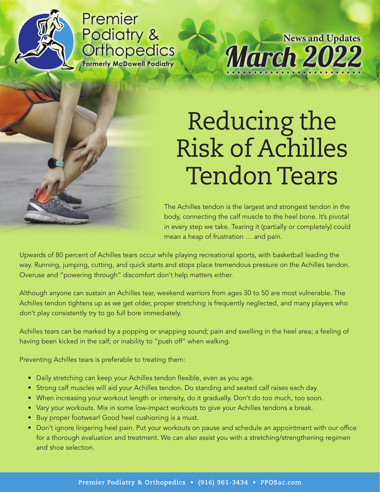

Premier Podiatry & Orthopedics **Formerly McDowell Podiatry** 

March 2022 **News and Updates**

## Reducing the Risk of Achilles Tendon Tears

The Achilles tendon is the largest and strongest tendon in the body, connecting the calf muscle to the heel bone. It's pivotal in every step we take. Tearing it (partially or completely) could mean a heap of frustration … and pain.

Upwards of 80 percent of Achilles tears occur while playing recreational sports, with basketball leading the way. Running, jumping, cutting, and quick starts and stops place tremendous pressure on the Achilles tendon. Overuse and "powering through" discomfort don't help matters either.

Although anyone can sustain an Achilles tear, weekend warriors from ages 30 to 50 are most vulnerable. The Achilles tendon tightens up as we get older, proper stretching is frequently neglected, and many players who don't play consistently try to go full bore immediately.

Achilles tears can be marked by a popping or snapping sound; pain and swelling in the heel area; a feeling of having been kicked in the calf; or inability to "push off" when walking.

Preventing Achilles tears is preferable to treating them:

- Daily stretching can keep your Achilles tendon flexible, even as you age.
- Strong calf muscles will aid your Achilles tendon. Do standing and seated calf raises each day.
- When increasing your workout length or intensity, do it gradually. Don't do too much, too soon.
- Vary your workouts. Mix in some low-impact workouts to give your Achilles tendons a break.
- Buy proper footwear! Good heel cushioning is a must.
- Don't ignore lingering heel pain. Put your workouts on pause and schedule an appointment with our office for a thorough evaluation and treatment. We can also assist you with a stretching/strengthening regimen and shoe selection.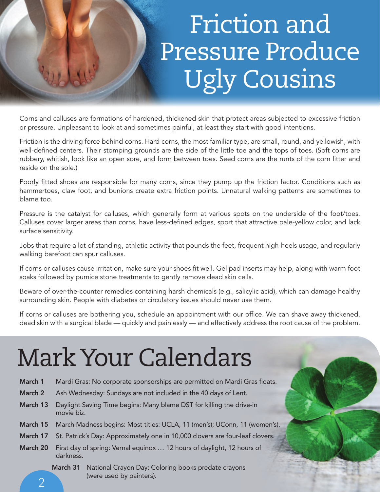## Friction and Pressure Produce Ugly Cousins

Corns and calluses are formations of hardened, thickened skin that protect areas subjected to excessive friction or pressure. Unpleasant to look at and sometimes painful, at least they start with good intentions.

Friction is the driving force behind corns. Hard corns, the most familiar type, are small, round, and yellowish, with well-defined centers. Their stomping grounds are the side of the little toe and the tops of toes. (Soft corns are rubbery, whitish, look like an open sore, and form between toes. Seed corns are the runts of the corn litter and reside on the sole.)

Poorly fitted shoes are responsible for many corns, since they pump up the friction factor. Conditions such as hammertoes, claw foot, and bunions create extra friction points. Unnatural walking patterns are sometimes to blame too.

Pressure is the catalyst for calluses, which generally form at various spots on the underside of the foot/toes. Calluses cover larger areas than corns, have less-defined edges, sport that attractive pale-yellow color, and lack surface sensitivity.

Jobs that require a lot of standing, athletic activity that pounds the feet, frequent high-heels usage, and regularly walking barefoot can spur calluses.

If corns or calluses cause irritation, make sure your shoes fit well. Gel pad inserts may help, along with warm foot soaks followed by pumice stone treatments to gently remove dead skin cells.

Beware of over-the-counter remedies containing harsh chemicals (e.g., salicylic acid), which can damage healthy surrounding skin. People with diabetes or circulatory issues should never use them.

If corns or calluses are bothering you, schedule an appointment with our office. We can shave away thickened, dead skin with a surgical blade — quickly and painlessly — and effectively address the root cause of the problem.

## Mark Your Calendars

- March 1 Mardi Gras: No corporate sponsorships are permitted on Mardi Gras floats.
- March 2 Ash Wednesday: Sundays are not included in the 40 days of Lent.
- March 13 Daylight Saving Time begins: Many blame DST for killing the drive-in movie biz.
- March 15 March Madness begins: Most titles: UCLA, 11 (men's); UConn, 11 (women's).
- March 17 St. Patrick's Day: Approximately one in 10,000 clovers are four-leaf clovers.
- March 20 First day of spring: Vernal equinox … 12 hours of daylight, 12 hours of darkness.
	- March 31 National Crayon Day: Coloring books predate crayons (were used by painters).

 $\overline{\mathcal{L}}$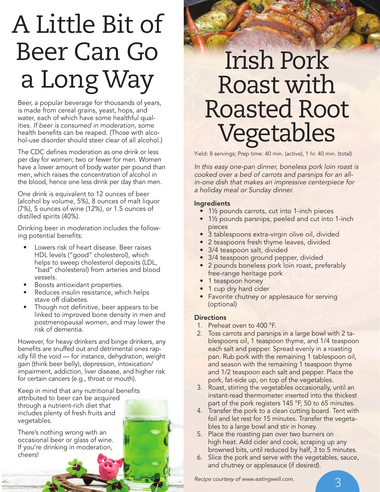# A Little Bit of Beer Can Go a Long Way

Beer, a popular beverage for thousands of years, is made from cereal grains, yeast, hops, and water, each of which have some healthful qualities. *If beer is consumed in moderation,* some health benefits can be reaped. (Those with alcohol-use disorder should steer clear of all alcohol.)

The CDC defines moderation as one drink or less per day for women; two or fewer for men. Women have a lower amount of body water per pound than men, which raises the concentration of alcohol in the blood, hence one less drink per day than men.

One drink is equivalent to 12 ounces of beer (alcohol by volume, 5%), 8 ounces of malt liquor (7%), 5 ounces of wine (12%), or 1.5 ounces of distilled spirits (40%).

Drinking beer in *moderation* includes the following potential benefits:

- Lowers risk of heart disease. Beer raises HDL levels ("good" cholesterol), which helps to sweep cholesterol deposits (LDL, "bad" cholesterol) from arteries and blood vessels.
- Boosts antioxidant properties.
- Reduces insulin resistance, which helps stave off diabetes.
- Though not definitive, beer appears to be linked to improved bone density in men and postmenopausal women, and may lower the risk of dementia.

However, for heavy drinkers and binge drinkers, any benefits are snuffed out and detrimental ones rapidly fill the void — for instance, dehydration, weight gain (think beer belly), depression, intoxication/ impairment, addiction, liver disease, and higher risk for certain cancers (e.g., throat or mouth).

Keep in mind that any nutritional benefits attributed to beer can be acquired through a nutrient-rich diet that includes plenty of fresh fruits and vegetables.

There's nothing wrong with an occasional beer or glass of wine. If you're drinking in moderation, cheers!

### Irish Pork Roast with Roasted Root Vegetables

Yield: 8 servings; Prep time: 40 min. (active), 1 hr. 40 min. (total)

*In this easy one-pan dinner, boneless pork loin roast is cooked over a bed of carrots and parsnips for an allin-one dish that makes an impressive centerpiece for a holiday meal or Sunday dinner.*

#### Ingredients

- 1½ pounds carrots, cut into 1-inch pieces
- 1½ pounds parsnips, peeled and cut into 1-inch pieces
- 3 tablespoons extra-virgin olive oil, divided
- 2 teaspoons fresh thyme leaves, divided
- 3/4 teaspoon salt, divided
- 3/4 teaspoon ground pepper, divided
- 2 pounds boneless pork loin roast, preferably free-range heritage pork
- 1 teaspoon honey
- 1 cup dry hard cider
- Favorite chutney or applesauce for serving (optional)

#### **Directions**

- 1. Preheat oven to 400 °F.
- 2. Toss carrots and parsnips in a large bowl with 2 tablespoons oil, 1 teaspoon thyme, and 1/4 teaspoon each salt and pepper. Spread evenly in a roasting pan. Rub pork with the remaining 1 tablespoon oil, and season with the remaining 1 teaspoon thyme and 1/2 teaspoon each salt and pepper. Place the pork, fat-side up, on top of the vegetables.
- 3. Roast, stirring the vegetables occasionally, until an instant-read thermometer inserted into the thickest part of the pork registers 145 °F, 50 to 65 minutes.
- 4. Transfer the pork to a clean cutting board. Tent with foil and let rest for 15 minutes. Transfer the vegetables to a large bowl and stir in honey.
- 5. Place the roasting pan over two burners on high heat. Add cider and cook, scraping up any browned bits, until reduced by half, 3 to 5 minutes.
- 6. Slice the pork and serve with the vegetables, sauce, and chutney or applesauce (if desired).

*Recipe courtesy of www.eatingwell.com.*